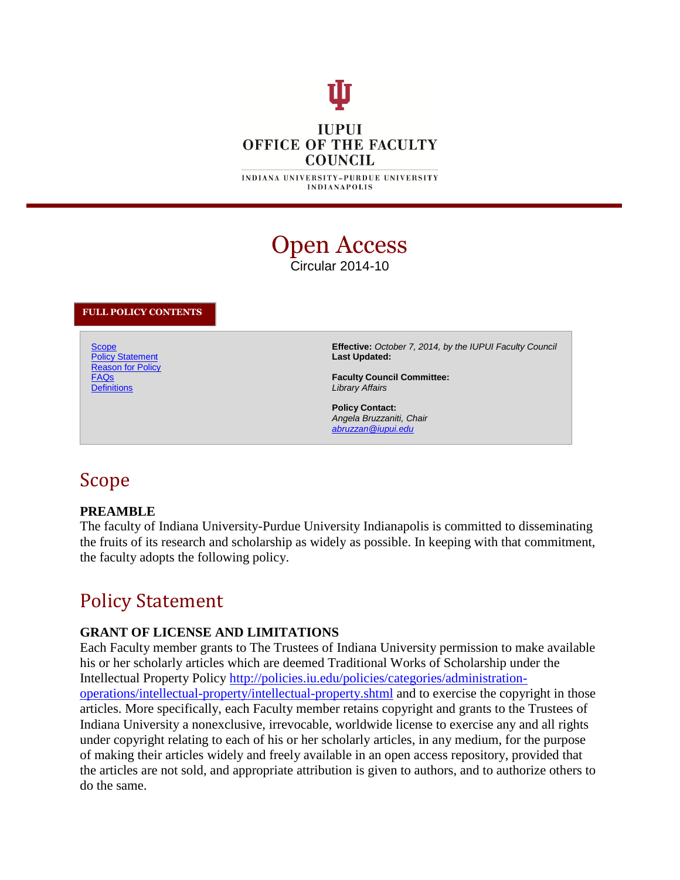# **IUPUI OFFICE OF THE FACULTY COUNCIL**

**INDIANAPOLIS** 

## Open Access Circular 2014-10

#### **FULL POLICY CONTENTS**

**Scope** Policy Statement **Reason for Policy** FAQs **Definitions** 

**Effective:** *October 7, 2014, by the IUPUI Faculty Council* **Last Updated:**

**Faculty Council Committee:** *Library Affairs*

**Policy Contact:** *Angela Bruzzaniti, Chair abruzzan@iupui.edu*

## Scope

#### **PREAMBLE**

The faculty of Indiana University-Purdue University Indianapolis is committed to disseminating the fruits of its research and scholarship as widely as possible. In keeping with that commitment, the faculty adopts the following policy.

## Policy Statement

#### **GRANT OF LICENSE AND LIMITATIONS**

Each Faculty member grants to The Trustees of Indiana University permission to make available his or her scholarly articles which are deemed Traditional Works of Scholarship under the Intellectual Property Policy http://policies.iu.edu/policies/categories/administrationoperations/intellectual-property/intellectual-property.shtml and to exercise the copyright in those articles. More specifically, each Faculty member retains copyright and grants to the Trustees of Indiana University a nonexclusive, irrevocable, worldwide license to exercise any and all rights under copyright relating to each of his or her scholarly articles, in any medium, for the purpose of making their articles widely and freely available in an open access repository, provided that the articles are not sold, and appropriate attribution is given to authors, and to authorize others to do the same.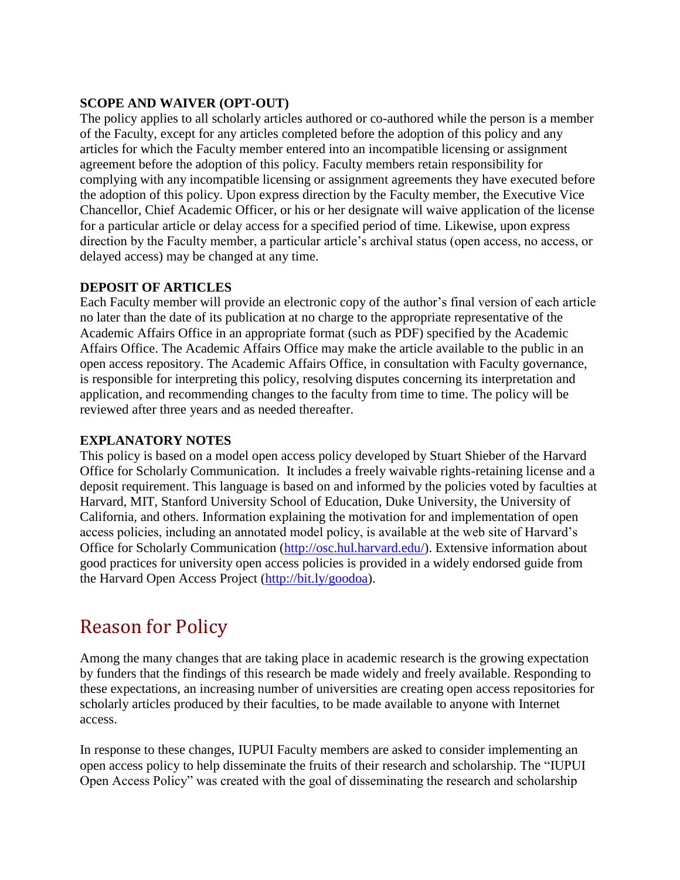#### **SCOPE AND WAIVER (OPT-OUT)**

The policy applies to all scholarly articles authored or co-authored while the person is a member of the Faculty, except for any articles completed before the adoption of this policy and any articles for which the Faculty member entered into an incompatible licensing or assignment agreement before the adoption of this policy. Faculty members retain responsibility for complying with any incompatible licensing or assignment agreements they have executed before the adoption of this policy. Upon express direction by the Faculty member, the Executive Vice Chancellor, Chief Academic Officer, or his or her designate will waive application of the license for a particular article or delay access for a specified period of time. Likewise, upon express direction by the Faculty member, a particular article's archival status (open access, no access, or delayed access) may be changed at any time.

#### **DEPOSIT OF ARTICLES**

Each Faculty member will provide an electronic copy of the author's final version of each article no later than the date of its publication at no charge to the appropriate representative of the Academic Affairs Office in an appropriate format (such as PDF) specified by the Academic Affairs Office. The Academic Affairs Office may make the article available to the public in an open access repository. The Academic Affairs Office, in consultation with Faculty governance, is responsible for interpreting this policy, resolving disputes concerning its interpretation and application, and recommending changes to the faculty from time to time. The policy will be reviewed after three years and as needed thereafter.

#### **EXPLANATORY NOTES**

This policy is based on a model open access policy developed by Stuart Shieber of the Harvard Office for Scholarly Communication. It includes a freely waivable rights-retaining license and a deposit requirement. This language is based on and informed by the policies voted by faculties at Harvard, MIT, Stanford University School of Education, Duke University, the University of California, and others. Information explaining the motivation for and implementation of open access policies, including an annotated model policy, is available at the web site of Harvard's Office for Scholarly Communication (http://osc.hul.harvard.edu/). Extensive information about good practices for university open access policies is provided in a widely endorsed guide from the Harvard Open Access Project (http://bit.ly/goodoa).

# Reason for Policy

Among the many changes that are taking place in academic research is the growing expectation by funders that the findings of this research be made widely and freely available. Responding to these expectations, an increasing number of universities are creating open access repositories for scholarly articles produced by their faculties, to be made available to anyone with Internet access.

In response to these changes, IUPUI Faculty members are asked to consider implementing an open access policy to help disseminate the fruits of their research and scholarship. The "IUPUI Open Access Policy" was created with the goal of disseminating the research and scholarship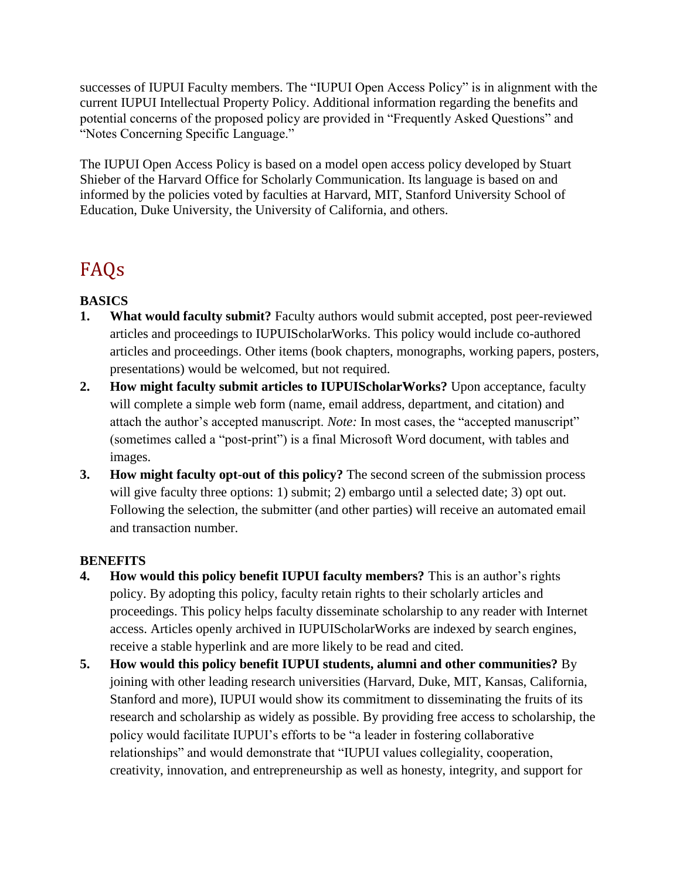successes of IUPUI Faculty members. The "IUPUI Open Access Policy" is in alignment with the current IUPUI Intellectual Property Policy. Additional information regarding the benefits and potential concerns of the proposed policy are provided in "Frequently Asked Questions" and "Notes Concerning Specific Language."

The IUPUI Open Access Policy is based on a model open access policy developed by Stuart Shieber of the Harvard Office for Scholarly Communication. Its language is based on and informed by the policies voted by faculties at Harvard, MIT, Stanford University School of Education, Duke University, the University of California, and others.

# FAQs

### **BASICS**

- **1. What would faculty submit?** Faculty authors would submit accepted, post peer-reviewed articles and proceedings to IUPUIScholarWorks. This policy would include co-authored articles and proceedings. Other items (book chapters, monographs, working papers, posters, presentations) would be welcomed, but not required.
- **2. How might faculty submit articles to IUPUIScholarWorks?** Upon acceptance, faculty will complete a simple web form (name, email address, department, and citation) and attach the author's accepted manuscript. *Note:* In most cases, the "accepted manuscript" (sometimes called a "post-print") is a final Microsoft Word document, with tables and images.
- **3. How might faculty opt-out of this policy?** The second screen of the submission process will give faculty three options: 1) submit; 2) embargo until a selected date; 3) opt out. Following the selection, the submitter (and other parties) will receive an automated email and transaction number.

### **BENEFITS**

- **4. How would this policy benefit IUPUI faculty members?** This is an author's rights policy. By adopting this policy, faculty retain rights to their scholarly articles and proceedings. This policy helps faculty disseminate scholarship to any reader with Internet access. Articles openly archived in IUPUIScholarWorks are indexed by search engines, receive a stable hyperlink and are more likely to be read and cited.
- **5. How would this policy benefit IUPUI students, alumni and other communities?** By joining with other leading research universities (Harvard, Duke, MIT, Kansas, California, Stanford and more), IUPUI would show its commitment to disseminating the fruits of its research and scholarship as widely as possible. By providing free access to scholarship, the policy would facilitate IUPUI's efforts to be "a leader in fostering collaborative relationships" and would demonstrate that "IUPUI values collegiality, cooperation, creativity, innovation, and entrepreneurship as well as honesty, integrity, and support for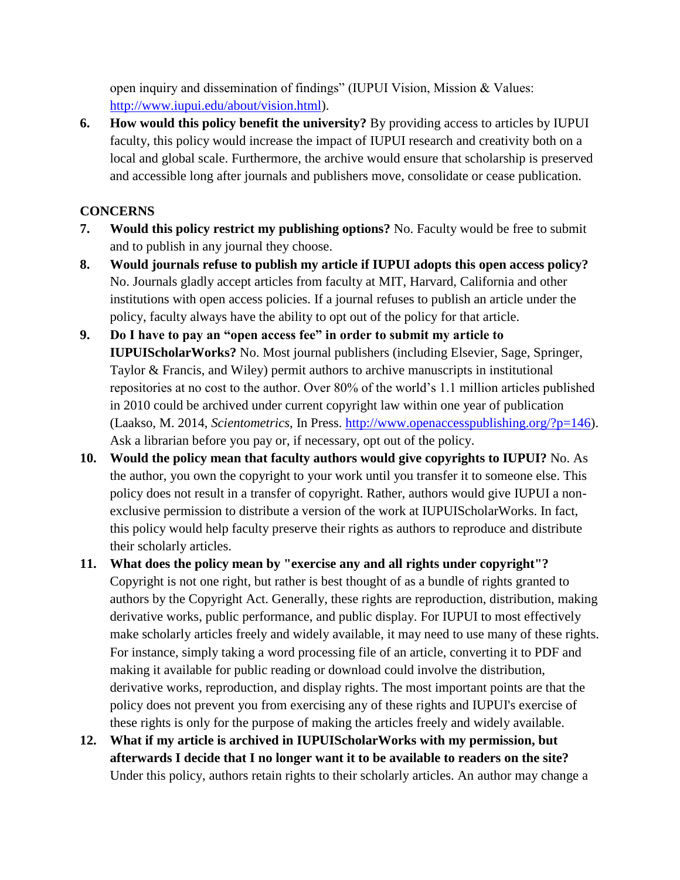open inquiry and dissemination of findings" (IUPUI Vision, Mission & Values: http://www.iupui.edu/about/vision.html).

**6. How would this policy benefit the university?** By providing access to articles by IUPUI faculty, this policy would increase the impact of IUPUI research and creativity both on a local and global scale. Furthermore, the archive would ensure that scholarship is preserved and accessible long after journals and publishers move, consolidate or cease publication.

### **CONCERNS**

- **7. Would this policy restrict my publishing options?** No. Faculty would be free to submit and to publish in any journal they choose.
- **8. Would journals refuse to publish my article if IUPUI adopts this open access policy?** No. Journals gladly accept articles from faculty at MIT, Harvard, California and other institutions with open access policies. If a journal refuses to publish an article under the policy, faculty always have the ability to opt out of the policy for that article.
- **9. Do I have to pay an "open access fee" in order to submit my article to IUPUIScholarWorks?** No. Most journal publishers (including Elsevier, Sage, Springer, Taylor & Francis, and Wiley) permit authors to archive manuscripts in institutional repositories at no cost to the author. Over 80% of the world's 1.1 million articles published in 2010 could be archived under current copyright law within one year of publication (Laakso, M. 2014, *Scientometrics*, In Press. http://www.openaccesspublishing.org/?p=146). Ask a librarian before you pay or, if necessary, opt out of the policy.
- **10. Would the policy mean that faculty authors would give copyrights to IUPUI?** No. As the author, you own the copyright to your work until you transfer it to someone else. This policy does not result in a transfer of copyright. Rather, authors would give IUPUI a nonexclusive permission to distribute a version of the work at IUPUIScholarWorks. In fact, this policy would help faculty preserve their rights as authors to reproduce and distribute their scholarly articles.
- **11. What does the policy mean by "exercise any and all rights under copyright"?** Copyright is not one right, but rather is best thought of as a bundle of rights granted to authors by the Copyright Act. Generally, these rights are reproduction, distribution, making derivative works, public performance, and public display. For IUPUI to most effectively make scholarly articles freely and widely available, it may need to use many of these rights. For instance, simply taking a word processing file of an article, converting it to PDF and making it available for public reading or download could involve the distribution, derivative works, reproduction, and display rights. The most important points are that the policy does not prevent you from exercising any of these rights and IUPUI's exercise of these rights is only for the purpose of making the articles freely and widely available.
- **12. What if my article is archived in IUPUIScholarWorks with my permission, but afterwards I decide that I no longer want it to be available to readers on the site?** Under this policy, authors retain rights to their scholarly articles. An author may change a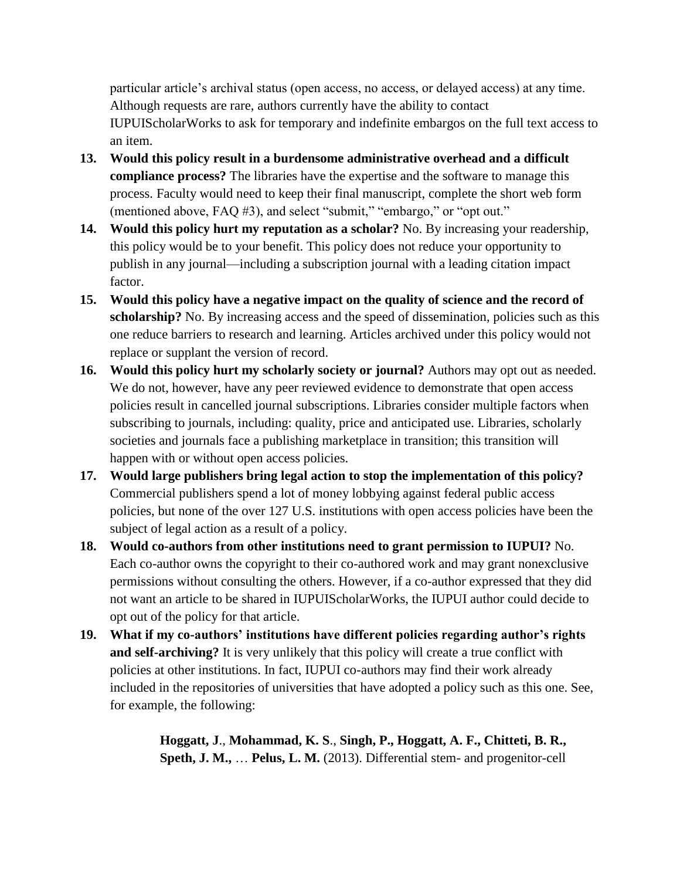particular article's archival status (open access, no access, or delayed access) at any time. Although requests are rare, authors currently have the ability to contact IUPUIScholarWorks to ask for temporary and indefinite embargos on the full text access to an item.

- **13. Would this policy result in a burdensome administrative overhead and a difficult compliance process?** The libraries have the expertise and the software to manage this process. Faculty would need to keep their final manuscript, complete the short web form (mentioned above, FAQ #3), and select "submit," "embargo," or "opt out."
- **14. Would this policy hurt my reputation as a scholar?** No. By increasing your readership, this policy would be to your benefit. This policy does not reduce your opportunity to publish in any journal—including a subscription journal with a leading citation impact factor.
- **15. Would this policy have a negative impact on the quality of science and the record of**  scholarship? No. By increasing access and the speed of dissemination, policies such as this one reduce barriers to research and learning. Articles archived under this policy would not replace or supplant the version of record.
- **16. Would this policy hurt my scholarly society or journal?** Authors may opt out as needed. We do not, however, have any peer reviewed evidence to demonstrate that open access policies result in cancelled journal subscriptions. Libraries consider multiple factors when subscribing to journals, including: quality, price and anticipated use. Libraries, scholarly societies and journals face a publishing marketplace in transition; this transition will happen with or without open access policies.
- **17. Would large publishers bring legal action to stop the implementation of this policy?** Commercial publishers spend a lot of money lobbying against federal public access policies, but none of the over 127 U.S. institutions with open access policies have been the subject of legal action as a result of a policy.
- **18. Would co-authors from other institutions need to grant permission to IUPUI?** No. Each co-author owns the copyright to their co-authored work and may grant nonexclusive permissions without consulting the others. However, if a co-author expressed that they did not want an article to be shared in IUPUIScholarWorks, the IUPUI author could decide to opt out of the policy for that article.
- **19. What if my co-authors' institutions have different policies regarding author's rights and self-archiving?** It is very unlikely that this policy will create a true conflict with policies at other institutions. In fact, IUPUI co-authors may find their work already included in the repositories of universities that have adopted a policy such as this one. See, for example, the following:

**Hoggatt, J**., **Mohammad, K. S**., **Singh, P., Hoggatt, A. F., Chitteti, B. R., Speth, J. M.,** … **Pelus, L. M.** (2013). Differential stem- and progenitor-cell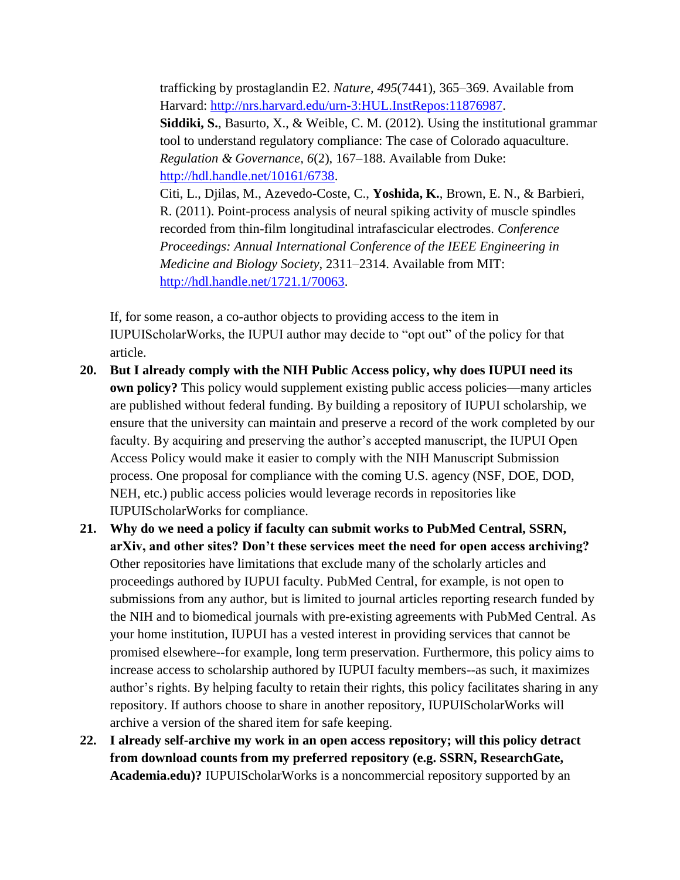trafficking by prostaglandin E2. *Nature, 495*(7441), 365–369. Available from Harvard: http://nrs.harvard.edu/urn-3:HUL.InstRepos:11876987. **Siddiki, S.**, Basurto, X., & Weible, C. M. (2012). Using the institutional grammar tool to understand regulatory compliance: The case of Colorado aquaculture. *Regulation & Governance, 6*(2), 167–188. Available from Duke: http://hdl.handle.net/10161/6738. Citi, L., Djilas, M., Azevedo-Coste, C., **Yoshida, K.**, Brown, E. N., & Barbieri, R. (2011). Point-process analysis of neural spiking activity of muscle spindles recorded from thin-film longitudinal intrafascicular electrodes. *Conference Proceedings: Annual International Conference of the IEEE Engineering in Medicine and Biology Society*, 2311–2314. Available from MIT: http://hdl.handle.net/1721.1/70063.

If, for some reason, a co-author objects to providing access to the item in IUPUIScholarWorks, the IUPUI author may decide to "opt out" of the policy for that article.

- **20. But I already comply with the NIH Public Access policy, why does IUPUI need its own policy?** This policy would supplement existing public access policies—many articles are published without federal funding. By building a repository of IUPUI scholarship, we ensure that the university can maintain and preserve a record of the work completed by our faculty. By acquiring and preserving the author's accepted manuscript, the IUPUI Open Access Policy would make it easier to comply with the NIH Manuscript Submission process. One proposal for compliance with the coming U.S. agency (NSF, DOE, DOD, NEH, etc.) public access policies would leverage records in repositories like IUPUIScholarWorks for compliance.
- **21. Why do we need a policy if faculty can submit works to PubMed Central, SSRN, arXiv, and other sites? Don't these services meet the need for open access archiving?**  Other repositories have limitations that exclude many of the scholarly articles and proceedings authored by IUPUI faculty. PubMed Central, for example, is not open to submissions from any author, but is limited to journal articles reporting research funded by the NIH and to biomedical journals with pre-existing agreements with PubMed Central. As your home institution, IUPUI has a vested interest in providing services that cannot be promised elsewhere--for example, long term preservation. Furthermore, this policy aims to increase access to scholarship authored by IUPUI faculty members--as such, it maximizes author's rights. By helping faculty to retain their rights, this policy facilitates sharing in any repository. If authors choose to share in another repository, IUPUIScholarWorks will archive a version of the shared item for safe keeping.
- **22. I already self-archive my work in an open access repository; will this policy detract from download counts from my preferred repository (e.g. SSRN, ResearchGate, Academia.edu)?** IUPUIScholarWorks is a noncommercial repository supported by an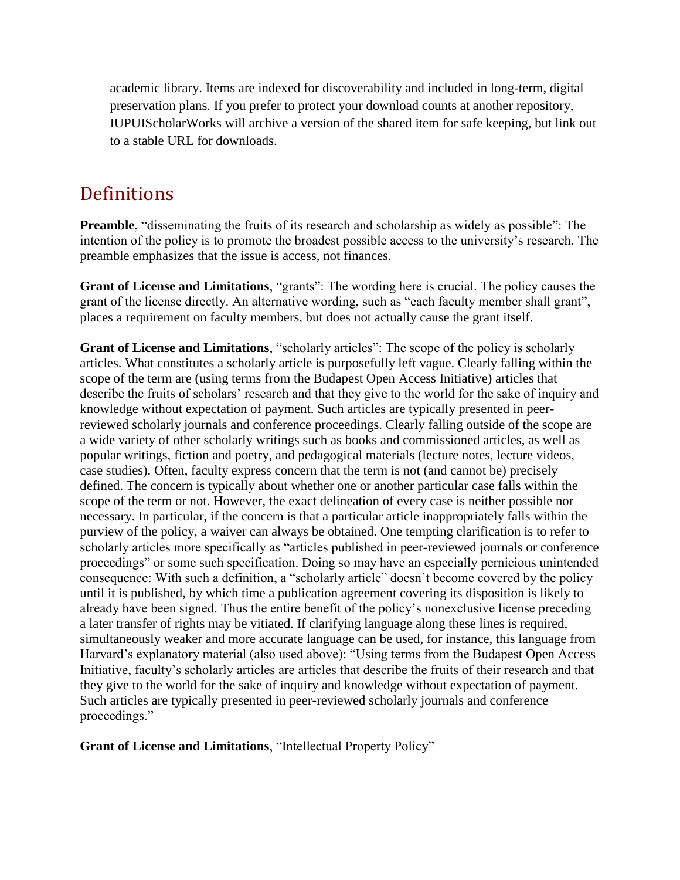academic library. Items are indexed for discoverability and included in long-term, digital preservation plans. If you prefer to protect your download counts at another repository, IUPUIScholarWorks will archive a version of the shared item for safe keeping, but link out to a stable URL for downloads.

## Definitions

**Preamble**, "disseminating the fruits of its research and scholarship as widely as possible": The intention of the policy is to promote the broadest possible access to the university's research. The preamble emphasizes that the issue is access, not finances.

**Grant of License and Limitations**, "grants": The wording here is crucial. The policy causes the grant of the license directly. An alternative wording, such as "each faculty member shall grant", places a requirement on faculty members, but does not actually cause the grant itself.

**Grant of License and Limitations**, "scholarly articles": The scope of the policy is scholarly articles. What constitutes a scholarly article is purposefully left vague. Clearly falling within the scope of the term are (using terms from the Budapest Open Access Initiative) articles that describe the fruits of scholars' research and that they give to the world for the sake of inquiry and knowledge without expectation of payment. Such articles are typically presented in peerreviewed scholarly journals and conference proceedings. Clearly falling outside of the scope are a wide variety of other scholarly writings such as books and commissioned articles, as well as popular writings, fiction and poetry, and pedagogical materials (lecture notes, lecture videos, case studies). Often, faculty express concern that the term is not (and cannot be) precisely defined. The concern is typically about whether one or another particular case falls within the scope of the term or not. However, the exact delineation of every case is neither possible nor necessary. In particular, if the concern is that a particular article inappropriately falls within the purview of the policy, a waiver can always be obtained. One tempting clarification is to refer to scholarly articles more specifically as "articles published in peer-reviewed journals or conference proceedings" or some such specification. Doing so may have an especially pernicious unintended consequence: With such a definition, a "scholarly article" doesn't become covered by the policy until it is published, by which time a publication agreement covering its disposition is likely to already have been signed. Thus the entire benefit of the policy's nonexclusive license preceding a later transfer of rights may be vitiated. If clarifying language along these lines is required, simultaneously weaker and more accurate language can be used, for instance, this language from Harvard's explanatory material (also used above): "Using terms from the Budapest Open Access Initiative, faculty's scholarly articles are articles that describe the fruits of their research and that they give to the world for the sake of inquiry and knowledge without expectation of payment. Such articles are typically presented in peer-reviewed scholarly journals and conference proceedings."

**Grant of License and Limitations**, "Intellectual Property Policy"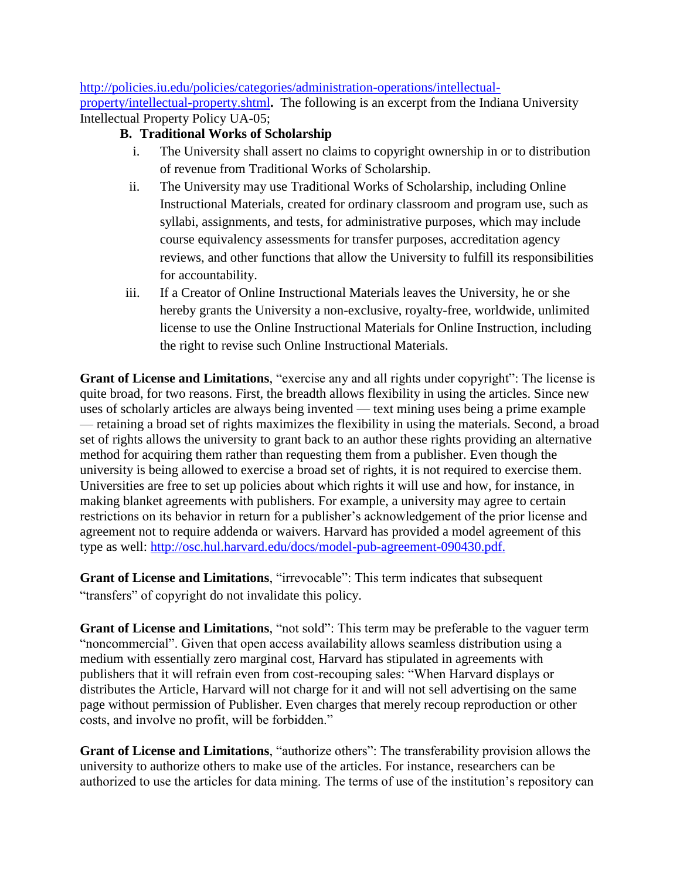http://policies.iu.edu/policies/categories/administration-operations/intellectualproperty/intellectual-property.shtml**.** The following is an excerpt from the Indiana University Intellectual Property Policy UA-05;

### **B. Traditional Works of Scholarship**

- i. The University shall assert no claims to copyright ownership in or to distribution of revenue from Traditional Works of Scholarship.
- ii. The University may use Traditional Works of Scholarship, including Online Instructional Materials, created for ordinary classroom and program use, such as syllabi, assignments, and tests, for administrative purposes, which may include course equivalency assessments for transfer purposes, accreditation agency reviews, and other functions that allow the University to fulfill its responsibilities for accountability.
- iii. If a Creator of Online Instructional Materials leaves the University, he or she hereby grants the University a non-exclusive, royalty-free, worldwide, unlimited license to use the Online Instructional Materials for Online Instruction, including the right to revise such Online Instructional Materials.

**Grant of License and Limitations**, "exercise any and all rights under copyright": The license is quite broad, for two reasons. First, the breadth allows flexibility in using the articles. Since new uses of scholarly articles are always being invented — text mining uses being a prime example — retaining a broad set of rights maximizes the flexibility in using the materials. Second, a broad set of rights allows the university to grant back to an author these rights providing an alternative method for acquiring them rather than requesting them from a publisher. Even though the university is being allowed to exercise a broad set of rights, it is not required to exercise them. Universities are free to set up policies about which rights it will use and how, for instance, in making blanket agreements with publishers. For example, a university may agree to certain restrictions on its behavior in return for a publisher's acknowledgement of the prior license and agreement not to require addenda or waivers. Harvard has provided a model agreement of this type as well: http://osc.hul.harvard.edu/docs/model-pub-agreement-090430.pdf.

**Grant of License and Limitations**, "irrevocable": This term indicates that subsequent "transfers" of copyright do not invalidate this policy.

**Grant of License and Limitations**, "not sold": This term may be preferable to the vaguer term "noncommercial". Given that open access availability allows seamless distribution using a medium with essentially zero marginal cost, Harvard has stipulated in agreements with publishers that it will refrain even from cost-recouping sales: "When Harvard displays or distributes the Article, Harvard will not charge for it and will not sell advertising on the same page without permission of Publisher. Even charges that merely recoup reproduction or other costs, and involve no profit, will be forbidden."

**Grant of License and Limitations**, "authorize others": The transferability provision allows the university to authorize others to make use of the articles. For instance, researchers can be authorized to use the articles for data mining. The terms of use of the institution's repository can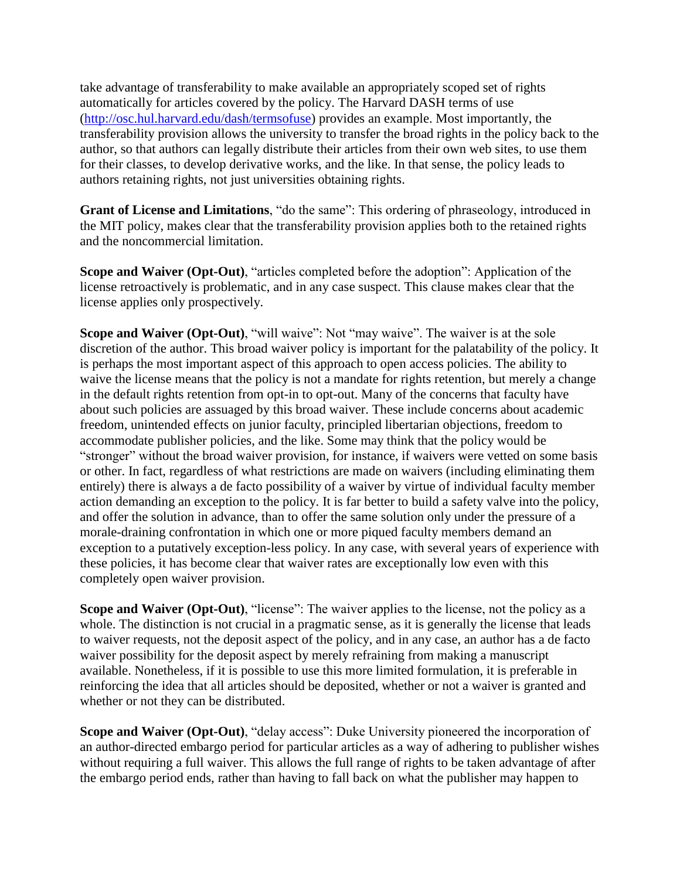take advantage of transferability to make available an appropriately scoped set of rights automatically for articles covered by the policy. The Harvard DASH terms of use (http://osc.hul.harvard.edu/dash/termsofuse) provides an example. Most importantly, the transferability provision allows the university to transfer the broad rights in the policy back to the author, so that authors can legally distribute their articles from their own web sites, to use them for their classes, to develop derivative works, and the like. In that sense, the policy leads to authors retaining rights, not just universities obtaining rights.

**Grant of License and Limitations**, "do the same": This ordering of phraseology, introduced in the MIT policy, makes clear that the transferability provision applies both to the retained rights and the noncommercial limitation.

**Scope and Waiver (Opt-Out)**, "articles completed before the adoption": Application of the license retroactively is problematic, and in any case suspect. This clause makes clear that the license applies only prospectively.

**Scope and Waiver (Opt-Out), "will waive": Not "may waive". The waiver is at the sole** discretion of the author. This broad waiver policy is important for the palatability of the policy. It is perhaps the most important aspect of this approach to open access policies. The ability to waive the license means that the policy is not a mandate for rights retention, but merely a change in the default rights retention from opt-in to opt-out. Many of the concerns that faculty have about such policies are assuaged by this broad waiver. These include concerns about academic freedom, unintended effects on junior faculty, principled libertarian objections, freedom to accommodate publisher policies, and the like. Some may think that the policy would be "stronger" without the broad waiver provision, for instance, if waivers were vetted on some basis or other. In fact, regardless of what restrictions are made on waivers (including eliminating them entirely) there is always a de facto possibility of a waiver by virtue of individual faculty member action demanding an exception to the policy. It is far better to build a safety valve into the policy, and offer the solution in advance, than to offer the same solution only under the pressure of a morale-draining confrontation in which one or more piqued faculty members demand an exception to a putatively exception-less policy. In any case, with several years of experience with these policies, it has become clear that waiver rates are exceptionally low even with this completely open waiver provision.

**Scope and Waiver (Opt-Out), "license":** The waiver applies to the license, not the policy as a whole. The distinction is not crucial in a pragmatic sense, as it is generally the license that leads to waiver requests, not the deposit aspect of the policy, and in any case, an author has a de facto waiver possibility for the deposit aspect by merely refraining from making a manuscript available. Nonetheless, if it is possible to use this more limited formulation, it is preferable in reinforcing the idea that all articles should be deposited, whether or not a waiver is granted and whether or not they can be distributed.

**Scope and Waiver (Opt-Out), "delay access": Duke University pioneered the incorporation of** an author-directed embargo period for particular articles as a way of adhering to publisher wishes without requiring a full waiver. This allows the full range of rights to be taken advantage of after the embargo period ends, rather than having to fall back on what the publisher may happen to